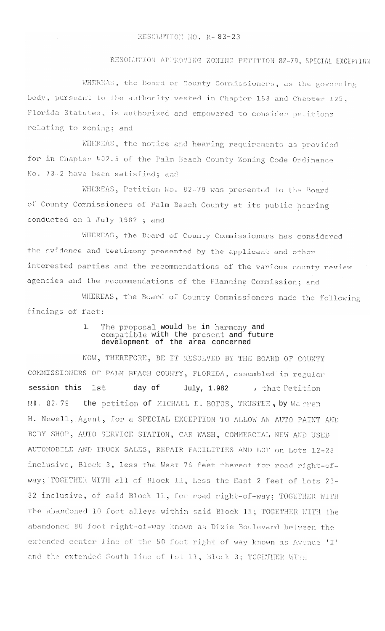## RESOLUTION APPROVING ZONING PETITION 82-79, SPECIAL EXCEPTION

WHEREAS, the Board of County Commissioners, as the governing body, pursuant to the authority vested in Chapter 163 and Chapter 125, Florida Statutes, is authorized and empowered to consider petitions relating to zoning; and

WHEREAS, the notice and hearing requirements as provided for in Chapter 402.5 of the Palm Beach County Zoning Code Ordinance No. 73-2 have been satisfied; and

WHEREAS, Petition No. 82-79 was presented to the Board of County Commissioners of Palm Beach County at its public hearing conducted on 1 July 1982 ; and

WHEREAS, the Board of County Commissioners has considered the evidence and testimony presented by the applicant and other interested parties and the recommendations of the various county review agencies and the recommendations of the Planning Commission; and

WHEREAS, the Board of County Commissioners made the following findings of fact:

## The proposal would be in harmony and  $\mathbf{1}$ . compatible with the present and future development of the area concerned

NOW, THEREFORE, BE IT RESOLVED BY THE BOARD OF COUNTY COMMISSIONERS OF PALM BEACH COUNTY, FLORIDA, assembled in regular session this **lst** day of July, 1.982 , that Petition NO. 82-79 the petition of MICHAEL E. BOTOS, TRUSTEE, by Warren H. Newell, Agent, for a SPECIAL EXCEPTION TO ALLOW AN AUTO PAINT AMD BODY SHOP, AUTO SERVICE STATION, CAR WASH, COMMERCIAL NEW AND USED AUTOMOBILE AND TRUCK SALES, REPAIR FACILITIES AND LOT on Lots 12-23 inclusive, Block 3, less the West 76 feet thereof for road right-ofway; TOGETHER WITH all of Block 11, Less the East 2 feet of Lots 23-32 inclusive, of said Block 11, for road right-of-way; TOGETHER WITH the abandoned 10 foot alleys within said Block 11; TOGETHER WITH the abandoned 80 foot right-of-way known as Dixie Boulevard between the extended center line of the 50 foot right of way known as Avenue 'I' and the extended South line of Lot 11, Block 3; TOGETHER WITH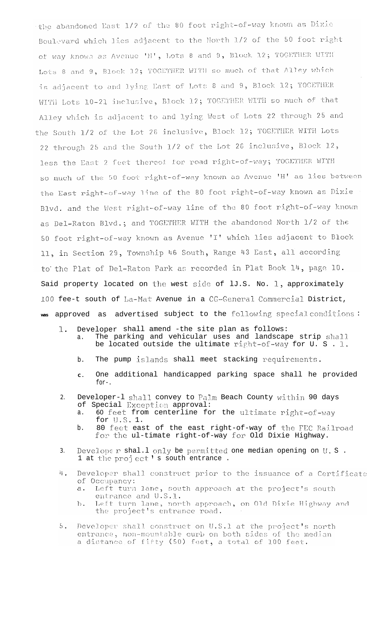the abandoned East 1/2 of the 80 foot right-of-way known as Dixie Boulevard which lies adjacent to the North 1/2 of the 50 foot right of way known as Avenue 'H', Lots 8 and 9, Block 12; TOGETHER WITH Lots 8 and 9, Block 12; TOGETHER WITH so much of that Alley which is adjacent to and lying East of Lots 8 and 9, Block 12; TOGETHER WITH Lots 10-21 inclusive, Block 12; TOGETHER WITH so much of that Alley which is adjacent to and lying West of Lots 22 through 25 and the South 1/2 of the Lot 26 inclusive, Block 12; TOGETHER WITH Lots 22 through 25 and the South 1/2 of the Lot 26 inclusive, Block 12, less the East 2 feet thereof for road right-of-way; TOGETHER WITH so much of the 50 foot right-of-way known as Avenue 'H' as lies between the East right-of-way line of the 80 foot right-of-way known as Dixie Blvd. and the West right-of-way line of the 80 foot right-of-way known as Del-Raton Blvd.; and TOGETHER WITH the abandoned North 1/2 of the 50 foot right-of-way known as Avenue 'I' which lies adjacent to Block 11, in Section 29, Township 46 South, Range 43 East, all according to the Plat of Del-Raton Park as recorded in Plat Book 14, page 10. Said property located on the west side of lJ.S. No. 1, approximately 100 fee-t south of La-Mat Avenue in a CG-General Commercial District, was approved as advertised subject to the following special conditions:

- 1. Developer shall amend -the site plan as follows: a. The parking and vehicular uses and landscape strip sha11. be located outside the ultimate right-of-way for U. S . I.
	- b. The pump islands shall meet stacking requirements.
	- **C .** One additional handicapped parking space shall he provided for-.
- 2. Developer-1 shall convey to Palm Beach County within 90 days of Special Exception approval:
	- a. 60 feet from centerline for the ultimate right-of-way for  $U.S. 1$ .
	- b. 80 feet east of the east right-of-way of the FEC Railroad for the ul-timate right-of-way for Old Dixie Highway.
- 3. Develope  $r$  shal.1 only be permitted one median opening on  $U.S.$ . 1 at the project's south entrance.
- $i_{\mathsf{L}}$ . Developer shall construct prior to the issuance of a Certificate of Occupancy:
	- Left turn lane, south approach at the project's south  $a \cdot$ entrance and U.S.1.
	- Left turn lane, north approach, on Old Dixie Highway and  $b$ . the project's entrance road.
- Developer shall construct on U.S.1 at the project's north  $5.$ entrance, non-mountable curb on both sides of the median<br>a distance of fifty (50) feet, a total of 100 feet.